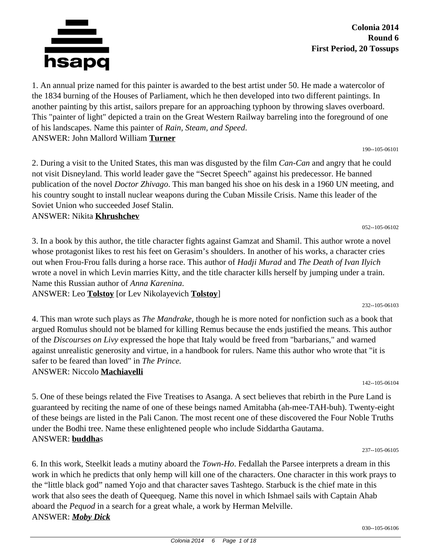

1. An annual prize named for this painter is awarded to the best artist under 50. He made a watercolor of the 1834 burning of the Houses of Parliament, which he then developed into two different paintings. In another painting by this artist, sailors prepare for an approaching typhoon by throwing slaves overboard. This "painter of light" depicted a train on the Great Western Railway barreling into the foreground of one of his landscapes. Name this painter of *Rain, Steam, and Speed*. ANSWER: John Mallord William **Turner**

190--105-06101

052--105-06102

232--105-06103

2. During a visit to the United States, this man was disgusted by the film *Can-Can* and angry that he could not visit Disneyland. This world leader gave the "Secret Speech" against his predecessor. He banned publication of the novel *Doctor Zhivago*. This man banged his shoe on his desk in a 1960 UN meeting, and his country sought to install nuclear weapons during the Cuban Missile Crisis. Name this leader of the Soviet Union who succeeded Josef Stalin.

ANSWER: Nikita **Khrushchev**

3. In a book by this author, the title character fights against Gamzat and Shamil. This author wrote a novel whose protagonist likes to rest his feet on Gerasim's shoulders. In another of his works, a character cries out when Frou-Frou falls during a horse race. This author of *Hadji Murad* and *The Death of Ivan Ilyich* wrote a novel in which Levin marries Kitty, and the title character kills herself by jumping under a train. Name this Russian author of *Anna Karenina*.

ANSWER: Leo **Tolstoy** [or Lev Nikolayevich **Tolstoy**]

4. This man wrote such plays as *The Mandrake,* though he is more noted for nonfiction such as a book that argued Romulus should not be blamed for killing Remus because the ends justified the means. This author of the *Discourses on Livy* expressed the hope that Italy would be freed from "barbarians," and warned against unrealistic generosity and virtue, in a handbook for rulers. Name this author who wrote that "it is safer to be feared than loved" in *The Prince.* ANSWER: Niccolo **Machiavelli**

142--105-06104

5. One of these beings related the Five Treatises to Asanga. A sect believes that rebirth in the Pure Land is guaranteed by reciting the name of one of these beings named Amitabha (ah-mee-TAH-buh). Twenty-eight of these beings are listed in the Pali Canon. The most recent one of these discovered the Four Noble Truths under the Bodhi tree. Name these enlightened people who include Siddartha Gautama. ANSWER: **buddha**s

237--105-06105

6. In this work, Steelkit leads a mutiny aboard the *Town-Ho*. Fedallah the Parsee interprets a dream in this work in which he predicts that only hemp will kill one of the characters. One character in this work prays to the "little black god" named Yojo and that character saves Tashtego. Starbuck is the chief mate in this work that also sees the death of Queequeg. Name this novel in which Ishmael sails with Captain Ahab aboard the *Pequod* in a search for a great whale, a work by Herman Melville. ANSWER: *Moby Dick*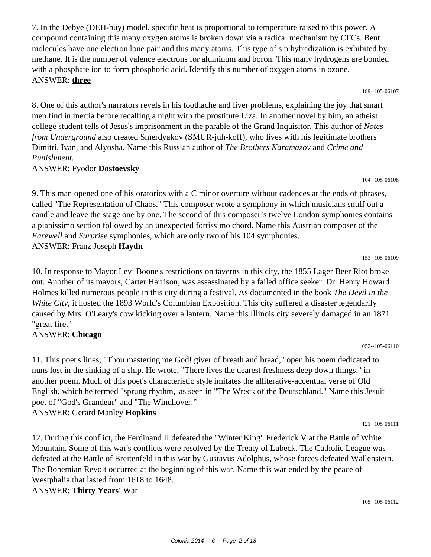compound containing this many oxygen atoms is broken down via a radical mechanism by CFCs. Bent molecules have one electron lone pair and this many atoms. This type of s p hybridization is exhibited by methane. It is the number of valence electrons for aluminum and boron. This many hydrogens are bonded with a phosphate ion to form phosphoric acid. Identify this number of oxygen atoms in ozone. ANSWER: **three** 189--105-06107

7. In the Debye (DEH-buy) model, specific heat is proportional to temperature raised to this power. A

8. One of this author's narrators revels in his toothache and liver problems, explaining the joy that smart men find in inertia before recalling a night with the prostitute Liza. In another novel by him, an atheist college student tells of Jesus's imprisonment in the parable of the Grand Inquisitor. This author of *Notes from Underground* also created Smerdyakov (SMUR-juh-koff), who lives with his legitimate brothers Dimitri, Ivan, and Alyosha. Name this Russian author of *The Brothers Karamazov* and *Crime and Punishment.*

#### ANSWER: Fyodor **Dostoevsky**

9. This man opened one of his oratorios with a C minor overture without cadences at the ends of phrases, called "The Representation of Chaos." This composer wrote a symphony in which musicians snuff out a candle and leave the stage one by one. The second of this composer's twelve London symphonies contains a pianissimo section followed by an unexpected fortissimo chord. Name this Austrian composer of the *Farewell* and *Surprise* symphonies, which are only two of his 104 symphonies. ANSWER: Franz Joseph **Haydn**

153--105-06109

052--105-06110

104--105-06108

10. In response to Mayor Levi Boone's restrictions on taverns in this city, the 1855 Lager Beer Riot broke out. Another of its mayors, Carter Harrison, was assassinated by a failed office seeker. Dr. Henry Howard Holmes killed numerous people in this city during a festival. As documented in the book *The Devil in the White City,* it hosted the 1893 World's Columbian Exposition. This city suffered a disaster legendarily caused by Mrs. O'Leary's cow kicking over a lantern. Name this Illinois city severely damaged in an 1871 "great fire."

#### ANSWER: **Chicago**

11. This poet's lines, "Thou mastering me God! giver of breath and bread," open his poem dedicated to nuns lost in the sinking of a ship. He wrote, "There lives the dearest freshness deep down things," in another poem. Much of this poet's characteristic style imitates the alliterative-accentual verse of Old English, which he termed "sprung rhythm,' as seen in "The Wreck of the Deutschland." Name this Jesuit poet of "God's Grandeur" and "The Windhover." ANSWER: Gerard Manley **Hopkins**

121--105-06111

12. During this conflict, the Ferdinand II defeated the "Winter King" Frederick V at the Battle of White Mountain. Some of this war's conflicts were resolved by the Treaty of Lubeck. The Catholic League was defeated at the Battle of Breitenfeld in this war by Gustavus Adolphus, whose forces defeated Wallenstein. The Bohemian Revolt occurred at the beginning of this war. Name this war ended by the peace of Westphalia that lasted from 1618 to 1648. ANSWER: **Thirty Years'** War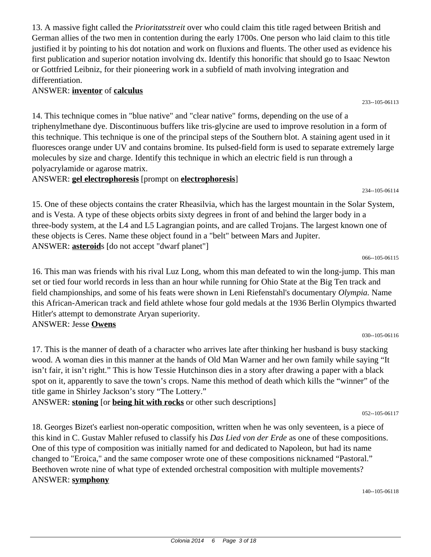13. A massive fight called the *Prioritatsstreit* over who could claim this title raged between British and German allies of the two men in contention during the early 1700s. One person who laid claim to this title justified it by pointing to his dot notation and work on fluxions and fluents. The other used as evidence his first publication and superior notation involving dx. Identify this honorific that should go to Isaac Newton or Gottfried Leibniz, for their pioneering work in a subfield of math involving integration and differentiation.

### ANSWER: **inventor** of **calculus**

14. This technique comes in "blue native" and "clear native" forms, depending on the use of a triphenylmethane dye. Discontinuous buffers like tris-glycine are used to improve resolution in a form of this technique. This technique is one of the principal steps of the Southern blot. A staining agent used in it fluoresces orange under UV and contains bromine. Its pulsed-field form is used to separate extremely large molecules by size and charge. Identify this technique in which an electric field is run through a polyacrylamide or agarose matrix.

ANSWER: **gel electrophoresis** [prompt on **electrophoresis**]

15. One of these objects contains the crater Rheasilvia, which has the largest mountain in the Solar System, and is Vesta. A type of these objects orbits sixty degrees in front of and behind the larger body in a three-body system, at the L4 and L5 Lagrangian points, and are called Trojans. The largest known one of these objects is Ceres. Name these object found in a "belt" between Mars and Jupiter. ANSWER: **asteroid**s [do not accept "dwarf planet"]

16. This man was friends with his rival Luz Long, whom this man defeated to win the long-jump. This man set or tied four world records in less than an hour while running for Ohio State at the Big Ten track and field championships, and some of his feats were shown in Leni Riefenstahl's documentary *Olympia.* Name this African-American track and field athlete whose four gold medals at the 1936 Berlin Olympics thwarted Hitler's attempt to demonstrate Aryan superiority. ANSWER: Jesse **Owens**

17. This is the manner of death of a character who arrives late after thinking her husband is busy stacking wood. A woman dies in this manner at the hands of Old Man Warner and her own family while saying "It isn't fair, it isn't right." This is how Tessie Hutchinson dies in a story after drawing a paper with a black spot on it, apparently to save the town's crops. Name this method of death which kills the "winner" of the title game in Shirley Jackson's story "The Lottery."

ANSWER: **stoning** [or **being hit with rocks** or other such descriptions]

18. Georges Bizet's earliest non-operatic composition, written when he was only seventeen, is a piece of this kind in C. Gustav Mahler refused to classify his *Das Lied von der Erde* as one of these compositions. One of this type of composition was initially named for and dedicated to Napoleon, but had its name changed to "Eroica," and the same composer wrote one of these compositions nicknamed "Pastoral." Beethoven wrote nine of what type of extended orchestral composition with multiple movements? ANSWER: **symphony**

140--105-06118

066--105-06115

030--105-06116

234--105-06114

233--105-06113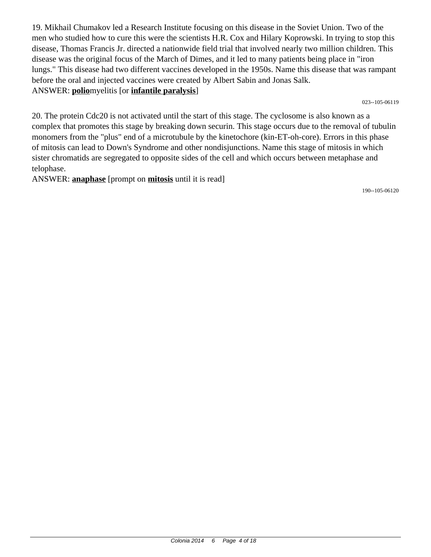19. Mikhail Chumakov led a Research Institute focusing on this disease in the Soviet Union. Two of the men who studied how to cure this were the scientists H.R. Cox and Hilary Koprowski. In trying to stop this disease, Thomas Francis Jr. directed a nationwide field trial that involved nearly two million children. This disease was the original focus of the March of Dimes, and it led to many patients being place in "iron lungs." This disease had two different vaccines developed in the 1950s. Name this disease that was rampant before the oral and injected vaccines were created by Albert Sabin and Jonas Salk. ANSWER: **polio**myelitis [or **infantile paralysis**]

023--105-06119

20. The protein Cdc20 is not activated until the start of this stage. The cyclosome is also known as a complex that promotes this stage by breaking down securin. This stage occurs due to the removal of tubulin monomers from the "plus" end of a microtubule by the kinetochore (kin-ET-oh-core). Errors in this phase of mitosis can lead to Down's Syndrome and other nondisjunctions. Name this stage of mitosis in which sister chromatids are segregated to opposite sides of the cell and which occurs between metaphase and telophase.

ANSWER: **anaphase** [prompt on **mitosis** until it is read]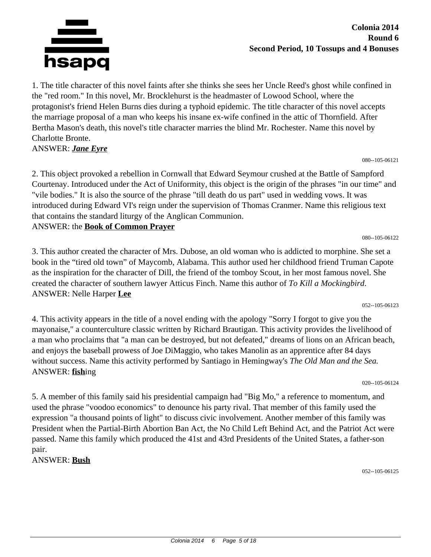

1. The title character of this novel faints after she thinks she sees her Uncle Reed's ghost while confined in the "red room." In this novel, Mr. Brocklehurst is the headmaster of Lowood School, where the protagonist's friend Helen Burns dies during a typhoid epidemic. The title character of this novel accepts the marriage proposal of a man who keeps his insane ex-wife confined in the attic of Thornfield. After Bertha Mason's death, this novel's title character marries the blind Mr. Rochester. Name this novel by Charlotte Bronte.

ANSWER: *Jane Eyre*

2. This object provoked a rebellion in Cornwall that Edward Seymour crushed at the Battle of Sampford Courtenay. Introduced under the Act of Uniformity, this object is the origin of the phrases "in our time" and "vile bodies." It is also the source of the phrase "till death do us part" used in wedding vows. It was introduced during Edward VI's reign under the supervision of Thomas Cranmer. Name this religious text that contains the standard liturgy of the Anglican Communion.

ANSWER: the **Book of Common Prayer**

3. This author created the character of Mrs. Dubose, an old woman who is addicted to morphine. She set a book in the "tired old town" of Maycomb, Alabama. This author used her childhood friend Truman Capote as the inspiration for the character of Dill, the friend of the tomboy Scout, in her most famous novel. She created the character of southern lawyer Atticus Finch. Name this author of *To Kill a Mockingbird*. ANSWER: Nelle Harper **Lee**

052--105-06123

080--105-06122

080--105-06121

4. This activity appears in the title of a novel ending with the apology "Sorry I forgot to give you the mayonaise," a counterculture classic written by Richard Brautigan. This activity provides the livelihood of a man who proclaims that "a man can be destroyed, but not defeated," dreams of lions on an African beach, and enjoys the baseball prowess of Joe DiMaggio, who takes Manolin as an apprentice after 84 days without success. Name this activity performed by Santiago in Hemingway's *The Old Man and the Sea.* ANSWER: **fish**ing

020--105-06124

5. A member of this family said his presidential campaign had "Big Mo," a reference to momentum, and used the phrase "voodoo economics" to denounce his party rival. That member of this family used the expression "a thousand points of light" to discuss civic involvement. Another member of this family was President when the Partial-Birth Abortion Ban Act, the No Child Left Behind Act, and the Patriot Act were passed. Name this family which produced the 41st and 43rd Presidents of the United States, a father-son pair.

ANSWER: **Bush**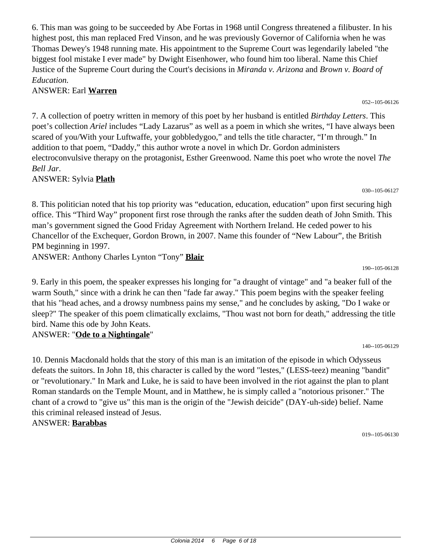6. This man was going to be succeeded by Abe Fortas in 1968 until Congress threatened a filibuster. In his highest post, this man replaced Fred Vinson, and he was previously Governor of California when he was Thomas Dewey's 1948 running mate. His appointment to the Supreme Court was legendarily labeled "the biggest fool mistake I ever made" by Dwight Eisenhower, who found him too liberal. Name this Chief Justice of the Supreme Court during the Court's decisions in *Miranda v. Arizona* and *Brown v. Board of Education.*

### ANSWER: Earl **Warren**

7. A collection of poetry written in memory of this poet by her husband is entitled *Birthday Letters*. This poet's collection *Ariel* includes "Lady Lazarus" as well as a poem in which she writes, "I have always been scared of you/With your Luftwaffe, your gobbledygoo," and tells the title character, "I'm through." In addition to that poem, "Daddy," this author wrote a novel in which Dr. Gordon administers electroconvulsive therapy on the protagonist, Esther Greenwood. Name this poet who wrote the novel *The Bell Jar*.

ANSWER: Sylvia **Plath**

8. This politician noted that his top priority was "education, education, education" upon first securing high office. This "Third Way" proponent first rose through the ranks after the sudden death of John Smith. This man's government signed the Good Friday Agreement with Northern Ireland. He ceded power to his Chancellor of the Exchequer, Gordon Brown, in 2007. Name this founder of "New Labour", the British PM beginning in 1997.

ANSWER: Anthony Charles Lynton "Tony" **Blair**

9. Early in this poem, the speaker expresses his longing for "a draught of vintage" and "a beaker full of the warm South," since with a drink he can then "fade far away." This poem begins with the speaker feeling that his "head aches, and a drowsy numbness pains my sense," and he concludes by asking, "Do I wake or sleep?" The speaker of this poem climatically exclaims, "Thou wast not born for death," addressing the title bird. Name this ode by John Keats.

### ANSWER: "**Ode to a Nightingale**"

10. Dennis Macdonald holds that the story of this man is an imitation of the episode in which Odysseus defeats the suitors. In John 18, this character is called by the word "lestes," (LESS-teez) meaning "bandit" or "revolutionary." In Mark and Luke, he is said to have been involved in the riot against the plan to plant Roman standards on the Temple Mount, and in Matthew, he is simply called a "notorious prisoner." The chant of a crowd to "give us" this man is the origin of the "Jewish deicide" (DAY-uh-side) belief. Name this criminal released instead of Jesus. ANSWER: **Barabbas**

019--105-06130

190--105-06128

140--105-06129

030--105-06127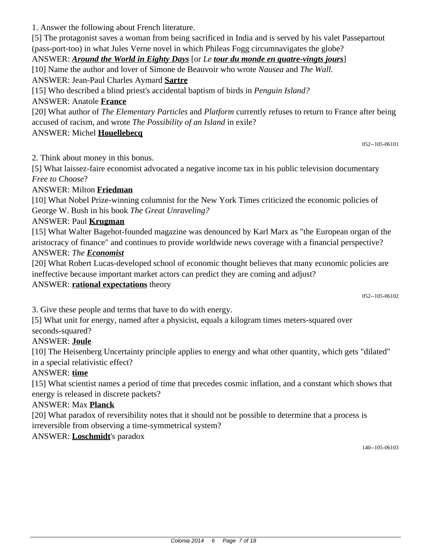1. Answer the following about French literature.

[5] The protagonist saves a woman from being sacrificed in India and is served by his valet Passepartout (pass-port-too) in what Jules Verne novel in which Phileas Fogg circumnavigates the globe?

ANSWER: *Around the World in Eighty Days* [or *Le tour du monde en quatre-vingts jours*]

[10] Name the author and lover of Simone de Beauvoir who wrote *Nausea* and *The Wall.*

ANSWER: Jean-Paul Charles Aymard **Sartre**

[15] Who described a blind priest's accidental baptism of birds in *Penguin Island?*

ANSWER: Anatole **France**

[20] What author of *The Elementary Particles* and *Platform* currently refuses to return to France after being accused of racism, and wrote *The Possibility of an Island* in exile?

ANSWER: Michel **Houellebecq**

052--105-06101

2. Think about money in this bonus.

[5] What laissez-faire economist advocated a negative income tax in his public television documentary *Free to Choose*?

### ANSWER: Milton **Friedman**

[10] What Nobel Prize-winning columnist for the New York Times criticized the economic policies of George W. Bush in his book *The Great Unraveling?*

### ANSWER: Paul **Krugman**

[15] What Walter Bagehot-founded magazine was denounced by Karl Marx as "the European organ of the aristocracy of finance" and continues to provide worldwide news coverage with a financial perspective? ANSWER: *The Economist*

[20] What Robert Lucas-developed school of economic thought believes that many economic policies are

ineffective because important market actors can predict they are coming and adjust?

### ANSWER: **rational expectations** theory

052--105-06102

3. Give these people and terms that have to do with energy.

[5] What unit for energy, named after a physicist, equals a kilogram times meters-squared over seconds-squared?

# ANSWER: **Joule**

[10] The Heisenberg Uncertainty principle applies to energy and what other quantity, which gets "dilated" in a special relativistic effect?

# ANSWER: **time**

[15] What scientist names a period of time that precedes cosmic inflation, and a constant which shows that energy is released in discrete packets?

### ANSWER: Max **Planck**

[20] What paradox of reversibility notes that it should not be possible to determine that a process is irreversible from observing a time-symmetrical system?

# ANSWER: **Loschmidt**'s paradox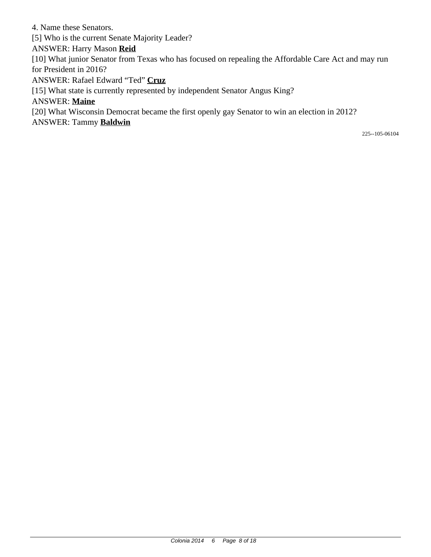4. Name these Senators. [5] Who is the current Senate Majority Leader? ANSWER: Harry Mason **Reid** [10] What junior Senator from Texas who has focused on repealing the Affordable Care Act and may run for President in 2016? ANSWER: Rafael Edward "Ted" **Cruz** [15] What state is currently represented by independent Senator Angus King? ANSWER: **Maine** [20] What Wisconsin Democrat became the first openly gay Senator to win an election in 2012? ANSWER: Tammy **Baldwin**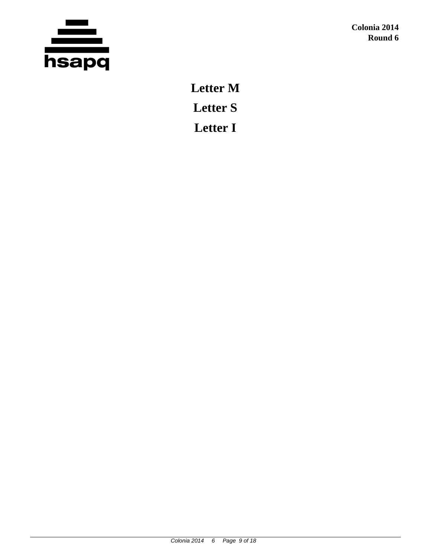

**Letter M Letter S Letter I**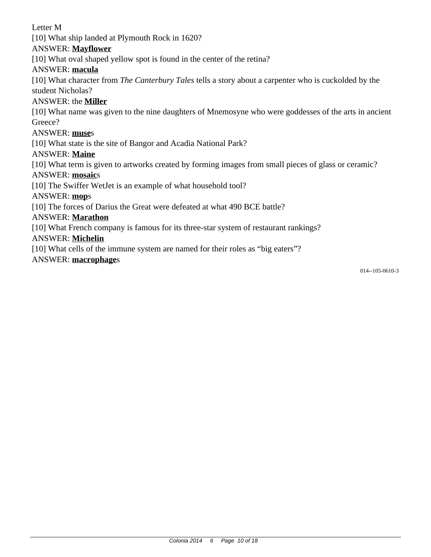Letter M [10] What ship landed at Plymouth Rock in 1620? ANSWER: **Mayflower** [10] What oval shaped yellow spot is found in the center of the retina? ANSWER: **macula** [10] What character from *The Canterbury Tales* tells a story about a carpenter who is cuckolded by the student Nicholas? ANSWER: the **Miller** [10] What name was given to the nine daughters of Mnemosyne who were goddesses of the arts in ancient Greece? ANSWER: **muse**s [10] What state is the site of Bangor and Acadia National Park? ANSWER: **Maine** [10] What term is given to artworks created by forming images from small pieces of glass or ceramic? ANSWER: **mosaic**s [10] The Swiffer WetJet is an example of what household tool? ANSWER: **mop**s [10] The forces of Darius the Great were defeated at what 490 BCE battle? ANSWER: **Marathon** [10] What French company is famous for its three-star system of restaurant rankings? ANSWER: **Michelin**

[10] What cells of the immune system are named for their roles as "big eaters"?

#### ANSWER: **macrophage**s

014--105-0610-3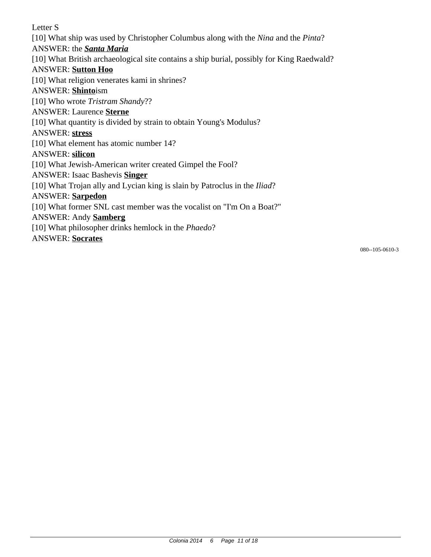Letter S [10] What ship was used by Christopher Columbus along with the *Nina* and the *Pinta*? ANSWER: the *Santa Maria* [10] What British archaeological site contains a ship burial, possibly for King Raedwald? ANSWER: **Sutton Hoo** [10] What religion venerates kami in shrines? ANSWER: **Shinto**ism [10] Who wrote *Tristram Shandy*?? ANSWER: Laurence **Sterne** [10] What quantity is divided by strain to obtain Young's Modulus? ANSWER: **stress** [10] What element has atomic number 14? ANSWER: **silicon** [10] What Jewish-American writer created Gimpel the Fool? ANSWER: Isaac Bashevis **Singer** [10] What Trojan ally and Lycian king is slain by Patroclus in the *Iliad*? ANSWER: **Sarpedon** [10] What former SNL cast member was the vocalist on "I'm On a Boat?" ANSWER: Andy **Samberg** [10] What philosopher drinks hemlock in the *Phaedo*? ANSWER: **Socrates**

080--105-0610-3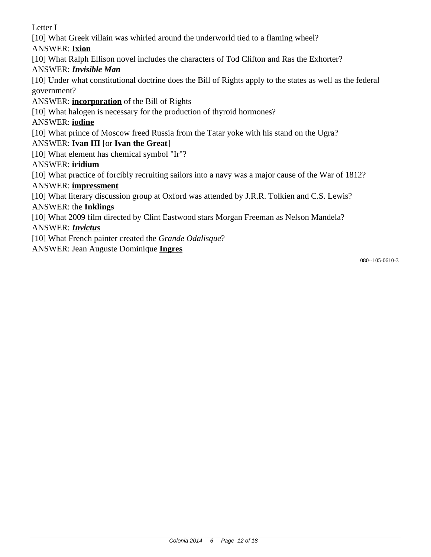Letter I

[10] What Greek villain was whirled around the underworld tied to a flaming wheel?

ANSWER: **Ixion**

[10] What Ralph Ellison novel includes the characters of Tod Clifton and Ras the Exhorter?

# ANSWER: *Invisible Man*

[10] Under what constitutional doctrine does the Bill of Rights apply to the states as well as the federal government?

# ANSWER: **incorporation** of the Bill of Rights

[10] What halogen is necessary for the production of thyroid hormones?

# ANSWER: **iodine**

[10] What prince of Moscow freed Russia from the Tatar yoke with his stand on the Ugra?

# ANSWER: **Ivan III** [or **Ivan the Great**]

[10] What element has chemical symbol "Ir"?

# ANSWER: **iridium**

[10] What practice of forcibly recruiting sailors into a navy was a major cause of the War of 1812?

# ANSWER: **impressment**

[10] What literary discussion group at Oxford was attended by J.R.R. Tolkien and C.S. Lewis?

# ANSWER: the **Inklings**

[10] What 2009 film directed by Clint Eastwood stars Morgan Freeman as Nelson Mandela?

# ANSWER: *Invictus*

[10] What French painter created the *Grande Odalisque*?

ANSWER: Jean Auguste Dominique **Ingres**

080--105-0610-3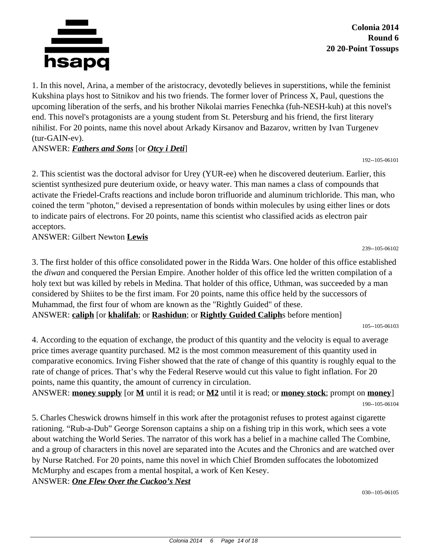

**Colonia 2014 Round 6 20 20-Point Tossups**

1. In this novel, Arina, a member of the aristocracy, devotedly believes in superstitions, while the feminist Kukshina plays host to Sitnikov and his two friends. The former lover of Princess X, Paul, questions the upcoming liberation of the serfs, and his brother Nikolai marries Fenechka (fuh-NESH-kuh) at this novel's end. This novel's protagonists are a young student from St. Petersburg and his friend, the first literary nihilist. For 20 points, name this novel about Arkady Kirsanov and Bazarov, written by Ivan Turgenev (tur-GAIN-ev).

### ANSWER: *Fathers and Sons* [or *Otcy i Deti*]

192--105-06101

2. This scientist was the doctoral advisor for Urey (YUR-ee) when he discovered deuterium. Earlier, this scientist synthesized pure deuterium oxide, or heavy water. This man names a class of compounds that activate the Friedel-Crafts reactions and include boron trifluoride and aluminum trichloride. This man, who coined the term "photon," devised a representation of bonds within molecules by using either lines or dots to indicate pairs of electrons. For 20 points, name this scientist who classified acids as electron pair acceptors.

ANSWER: Gilbert Newton **Lewis**

3. The first holder of this office consolidated power in the Ridda Wars. One holder of this office established the *diwan* and conquered the Persian Empire. Another holder of this office led the written compilation of a holy text but was killed by rebels in Medina. That holder of this office, Uthman, was succeeded by a man considered by Shiites to be the first imam. For 20 points, name this office held by the successors of Muhammad, the first four of whom are known as the "Rightly Guided" of these. ANSWER: **caliph** [or **khalifah**; or **Rashidun**; or **Rightly Guided Caliph**s before mention]

239--105-06102

4. According to the equation of exchange, the product of this quantity and the velocity is equal to average price times average quantity purchased. M2 is the most common measurement of this quantity used in comparative economics. Irving Fisher showed that the rate of change of this quantity is roughly equal to the rate of change of prices. That's why the Federal Reserve would cut this value to fight inflation. For 20 points, name this quantity, the amount of currency in circulation.

ANSWER: **money supply** [or **M** until it is read; or **M2** until it is read; or **money stock**; prompt on **money**] 190--105-06104

5. Charles Cheswick drowns himself in this work after the protagonist refuses to protest against cigarette rationing. "Rub-a-Dub" George Sorenson captains a ship on a fishing trip in this work, which sees a vote about watching the World Series. The narrator of this work has a belief in a machine called The Combine, and a group of characters in this novel are separated into the Acutes and the Chronics and are watched over by Nurse Ratched. For 20 points, name this novel in which Chief Bromden suffocates the lobotomized McMurphy and escapes from a mental hospital, a work of Ken Kesey.

ANSWER: *One Flew Over the Cuckoo's Nest*

<sup>105--105-06103</sup>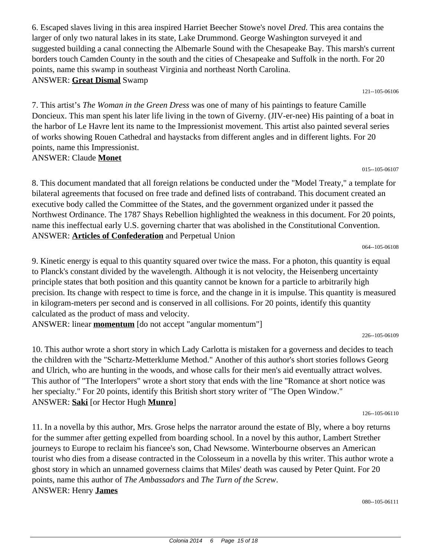6. Escaped slaves living in this area inspired Harriet Beecher Stowe's novel *Dred.* This area contains the larger of only two natural lakes in its state, Lake Drummond. George Washington surveyed it and suggested building a canal connecting the Albemarle Sound with the Chesapeake Bay. This marsh's current borders touch Camden County in the south and the cities of Chesapeake and Suffolk in the north. For 20 points, name this swamp in southeast Virginia and northeast North Carolina. ANSWER: **Great Dismal** Swamp

121--105-06106

7. This artist's *The Woman in the Green Dress* was one of many of his paintings to feature Camille Doncieux. This man spent his later life living in the town of Giverny. (JIV-er-nee) His painting of a boat in the harbor of Le Havre lent its name to the Impressionist movement. This artist also painted several series of works showing Rouen Cathedral and haystacks from different angles and in different lights. For 20 points, name this Impressionist. ANSWER: Claude **Monet**

015--105-06107

8. This document mandated that all foreign relations be conducted under the "Model Treaty," a template for bilateral agreements that focused on free trade and defined lists of contraband. This document created an executive body called the Committee of the States, and the government organized under it passed the Northwest Ordinance. The 1787 Shays Rebellion highlighted the weakness in this document. For 20 points, name this ineffectual early U.S. governing charter that was abolished in the Constitutional Convention. ANSWER: **Articles of Confederation** and Perpetual Union

064--105-06108

9. Kinetic energy is equal to this quantity squared over twice the mass. For a photon, this quantity is equal to Planck's constant divided by the wavelength. Although it is not velocity, the Heisenberg uncertainty principle states that both position and this quantity cannot be known for a particle to arbitrarily high precision. Its change with respect to time is force, and the change in it is impulse. This quantity is measured in kilogram-meters per second and is conserved in all collisions. For 20 points, identify this quantity calculated as the product of mass and velocity.

ANSWER: linear **momentum** [do not accept "angular momentum"]

226--105-06109

10. This author wrote a short story in which Lady Carlotta is mistaken for a governess and decides to teach the children with the "Schartz-Metterklume Method." Another of this author's short stories follows Georg and Ulrich, who are hunting in the woods, and whose calls for their men's aid eventually attract wolves. This author of "The Interlopers" wrote a short story that ends with the line "Romance at short notice was her specialty." For 20 points, identify this British short story writer of "The Open Window." ANSWER: **Saki** [or Hector Hugh **Munro**]

126--105-06110

11. In a novella by this author, Mrs. Grose helps the narrator around the estate of Bly, where a boy returns for the summer after getting expelled from boarding school. In a novel by this author, Lambert Strether journeys to Europe to reclaim his fiancee's son, Chad Newsome. Winterbourne observes an American tourist who dies from a disease contracted in the Colosseum in a novella by this writer. This author wrote a ghost story in which an unnamed governess claims that Miles' death was caused by Peter Quint. For 20 points, name this author of *The Ambassadors* and *The Turn of the Screw*. ANSWER: Henry **James**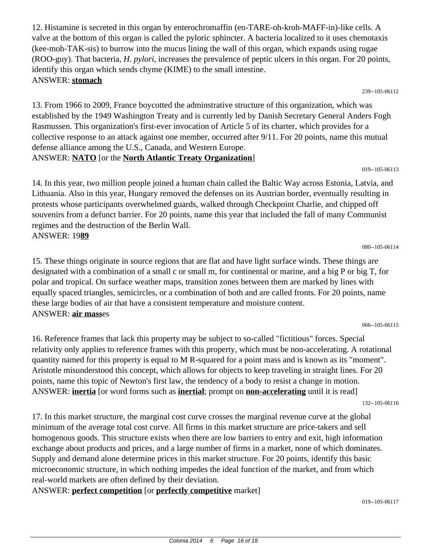12. Histamine is secreted in this organ by enterochromaffin (en-TARE-oh-kroh-MAFF-in)-like cells. A valve at the bottom of this organ is called the pyloric sphincter. A bacteria localized to it uses chemotaxis (kee-moh-TAK-sis) to burrow into the mucus lining the wall of this organ, which expands using rugae (ROO-guy). That bacteria, *H. pylori*, increases the prevalence of peptic ulcers in this organ. For 20 points, identify this organ which sends chyme (KIME) to the small intestine. ANSWER: **stomach**

239--105-06112

019--105-06113

13. From 1966 to 2009, France boycotted the adminstrative structure of this organization, which was established by the 1949 Washington Treaty and is currently led by Danish Secretary General Anders Fogh Rasmussen. This organization's first-ever invocation of Article 5 of its charter, which provides for a collective response to an attack against one member, occurred after 9/11. For 20 points, name this mutual defense alliance among the U.S., Canada, and Western Europe.

#### ANSWER: **NATO** [or the **North Atlantic Treaty Organization**]

14. In this year, two million people joined a human chain called the Baltic Way across Estonia, Latvia, and Lithuania. Also in this year, Hungary removed the defenses on its Austrian border, eventually resulting in protests whose participants overwhelmed guards, walked through Checkpoint Charlie, and chipped off souvenirs from a defunct barrier. For 20 points, name this year that included the fall of many Communist regimes and the destruction of the Berlin Wall. ANSWER: 19**89**

15. These things originate in source regions that are flat and have light surface winds. These things are designated with a combination of a small c or small m, for continental or marine, and a big P or big T, for polar and tropical. On surface weather maps, transition zones between them are marked by lines with equally spaced triangles, semicircles, or a combination of both and are called fronts. For 20 points, name these large bodies of air that have a consistent temperature and moisture content. ANSWER: **air mass**es

16. Reference frames that lack this property may be subject to so-called "fictitious" forces. Special relativity only applies to reference frames with this property, which must be non-accelerating. A rotational quantity named for this property is equal to M R-squared for a point mass and is known as its "moment". Aristotle misunderstood this concept, which allows for objects to keep traveling in straight lines. For 20 points, name this topic of Newton's first law, the tendency of a body to resist a change in motion. ANSWER: **inertia** [or word forms such as **inertial**; prompt on **non-accelerating** until it is read]

132--105-06116

066--105-06115

17. In this market structure, the marginal cost curve crosses the marginal revenue curve at the global minimum of the average total cost curve. All firms in this market structure are price-takers and sell homogenous goods. This structure exists when there are low barriers to entry and exit, high information exchange about products and prices, and a large number of firms in a market, none of which dominates. Supply and demand alone determine prices in this market structure. For 20 points, identify this basic microeconomic structure, in which nothing impedes the ideal function of the market, and from which real-world markets are often defined by their deviation.

ANSWER: **perfect competition** [or **perfectly competitive** market]

080--105-06114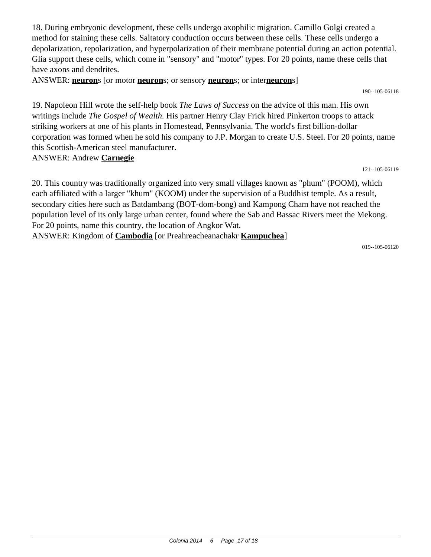18. During embryonic development, these cells undergo axophilic migration. Camillo Golgi created a method for staining these cells. Saltatory conduction occurs between these cells. These cells undergo a depolarization, repolarization, and hyperpolarization of their membrane potential during an action potential. Glia support these cells, which come in "sensory" and "motor" types. For 20 points, name these cells that have axons and dendrites.

ANSWER: **neuron**s [or motor **neuron**s; or sensory **neuron**s; or inter**neuron**s]

190--105-06118

19. Napoleon Hill wrote the self-help book *The Laws of Success* on the advice of this man. His own writings include *The Gospel of Wealth.* His partner Henry Clay Frick hired Pinkerton troops to attack striking workers at one of his plants in Homestead, Pennsylvania. The world's first billion-dollar corporation was formed when he sold his company to J.P. Morgan to create U.S. Steel. For 20 points, name this Scottish-American steel manufacturer. ANSWER: Andrew **Carnegie**

121--105-06119

20. This country was traditionally organized into very small villages known as "phum" (POOM), which each affiliated with a larger "khum" (KOOM) under the supervision of a Buddhist temple. As a result, secondary cities here such as Batdambang (BOT-dom-bong) and Kampong Cham have not reached the population level of its only large urban center, found where the Sab and Bassac Rivers meet the Mekong. For 20 points, name this country, the location of Angkor Wat. ANSWER: Kingdom of **Cambodia** [or Preahreacheanachakr **Kampuchea**]